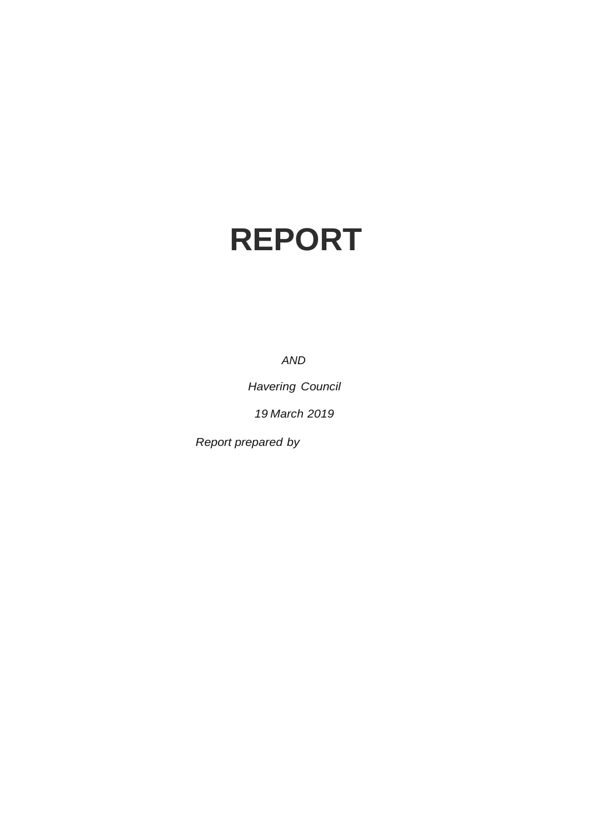# **REPORT**

*AND*

*Havering Council* 

*19 March 2019*

*Report prepared by*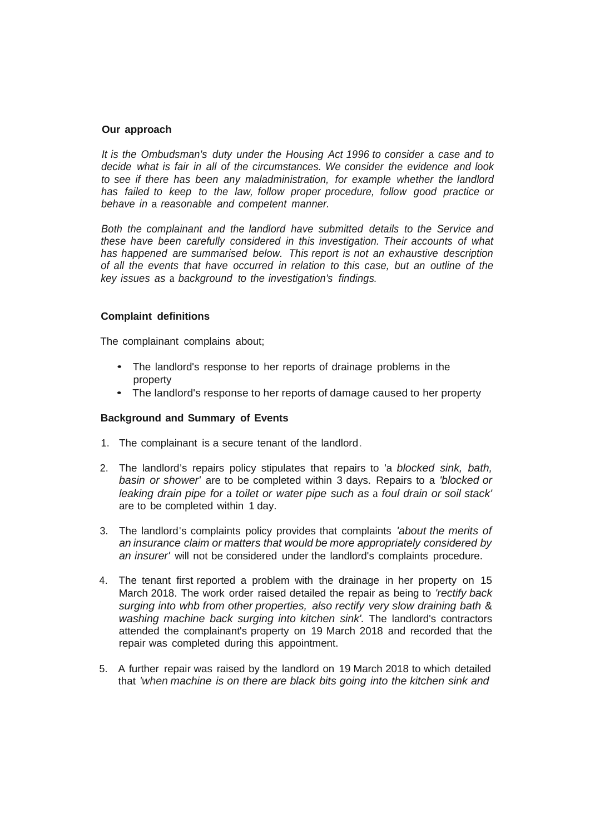#### **Our approach**

*It is the Ombudsman's duty under the Housing Act 1996 to consider* a *case and to decide what is fair in all of the circumstances. We consider the evidence and look to see if there has been any maladministration, for example whether the landlord has failed to keep to the law, follow proper procedure, follow good practice or behave in* a *reasonable and competent manner.*

*Both the complainant and the landlord have submitted details to the Service and these have been carefully considered in this investigation. Their accounts of what has happened are summarised below. This report is not an exhaustive description of all the events that have occurred in relation to this case, but an outline of the key issues as* a *background to the investigation's findings.*

#### **Complaint definitions**

The complainant complains about;

- The landlord's response to her reports of drainage problems in the property
- The landlord's response to her reports of damage caused to her property

#### **Background and Summary of Events**

- 1. The complainant is a secure tenant of the landlord.
- 2. The landlord's repairs policy stipulates that repairs to 'a *blocked sink, bath, basin or shower'* are to be completed within 3 days. Repairs to a *'blocked or leaking drain pipe for* a *toilet or water pipe such as* a *foul drain or soil stack'* are to be completed within 1 day.
- 3. The landlord's complaints policy provides that complaints *'about the merits of an insurance claim or matters that would be more appropriately considered by an insurer'* will not be considered under the landlord's complaints procedure.
- 4. The tenant first reported a problem with the drainage in her property on 15 March 2018. The work order raised detailed the repair as being to *'rectify back surging into whb from other properties, also rectify very slow draining bath* & *washing machine back surging into kitchen sink'.* The landlord's contractors attended the complainant's property on 19 March 2018 and recorded that the repair was completed during this appointment.
- 5. A further repair was raised by the landlord on 19 March 2018 to which detailed that *'when machine is on there are black bits going into the kitchen sink and*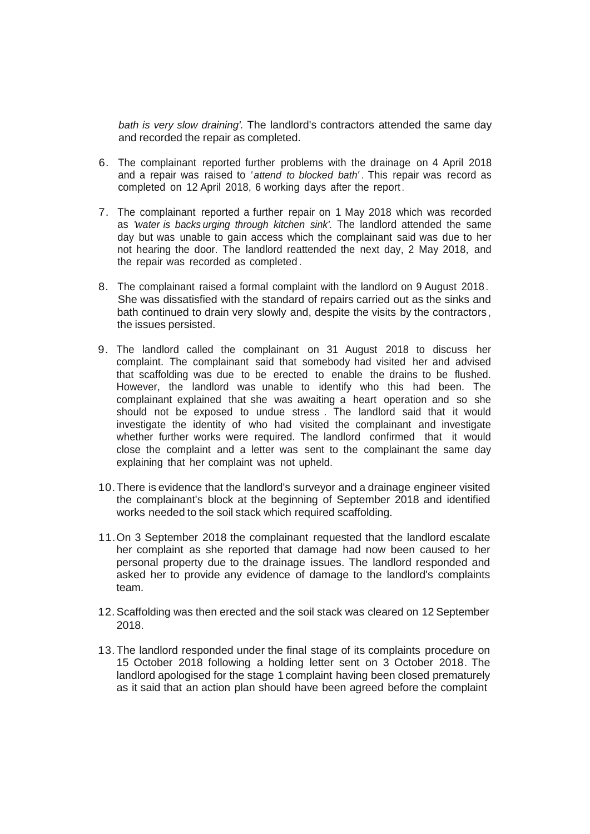*bath is very slow draining'.* The landlord's contractors attended the same day and recorded the repair as completed.

- 6. The complainant reported further problems with the drainage on 4 April 2018 and a repair was raised to *' attend to blocked bath' .* This repair was record as completed on 12 April 2018, 6 working days after the report.
- 7. The complainant reported a further repair on 1 May 2018 which was recorded as *'water is backs urging through kitchen sink'.* The landlord attended the same day but was unable to gain access which the complainant said was due to her not hearing the door. The landlord reattended the next day, 2 May 2018, and the repair was recorded as completed .
- 8. The complainant raised a formal complaint with the landlord on 9 August 2018. She was dissatisfied with the standard of repairs carried out as the sinks and bath continued to drain very slowly and, despite the visits by the contractors, the issues persisted.
- 9. The landlord called the complainant on 31 August 2018 to discuss her complaint. The complainant said that somebody had visited her and advised that scaffolding was due to be erected to enable the drains to be flushed. However, the landlord was unable to identify who this had been. The complainant explained that she was awaiting a heart operation and so she should not be exposed to undue stress . The landlord said that it would investigate the identity of who had visited the complainant and investigate whether further works were required. The landlord confirmed that it would close the complaint and a letter was sent to the complainant the same day explaining that her complaint was not upheld.
- 10.There is evidence that the landlord's surveyor and a drainage engineer visited the complainant's block at the beginning of September 2018 and identified works needed to the soil stack which required scaffolding.
- 11.On 3 September 2018 the complainant requested that the landlord escalate her complaint as she reported that damage had now been caused to her personal property due to the drainage issues. The landlord responded and asked her to provide any evidence of damage to the landlord's complaints team.
- 12.Scaffolding was then erected and the soil stack was cleared on 12 September 2018.
- 13.The landlord responded under the final stage of its complaints procedure on 15 October 2018 following a holding letter sent on 3 October 2018. The landlord apologised for the stage 1 complaint having been closed prematurely as it said that an action plan should have been agreed before the complaint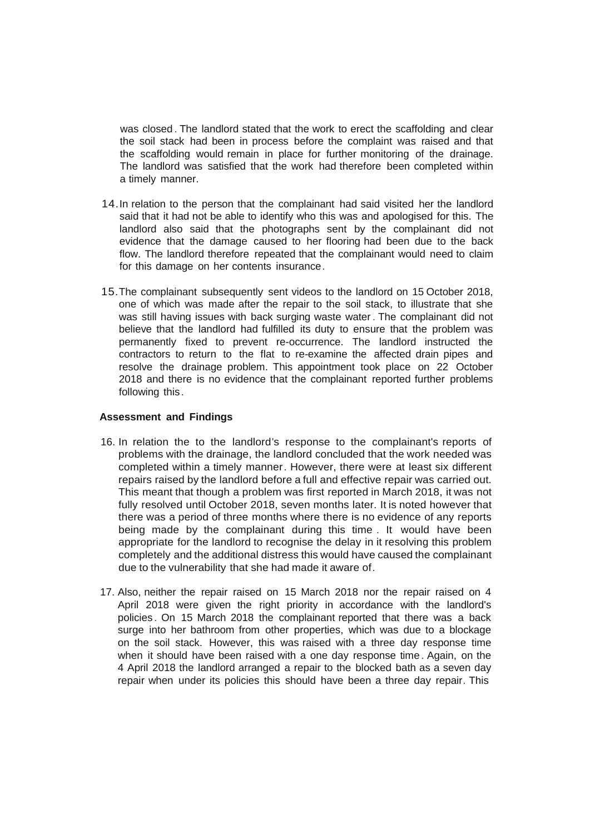was closed . The landlord stated that the work to erect the scaffolding and clear the soil stack had been in process before the complaint was raised and that the scaffolding would remain in place for further monitoring of the drainage. The landlord was satisfied that the work had therefore been completed within a timely manner.

- 14.In relation to the person that the complainant had said visited her the landlord said that it had not be able to identify who this was and apologised for this. The landlord also said that the photographs sent by the complainant did not evidence that the damage caused to her flooring had been due to the back flow. The landlord therefore repeated that the complainant would need to claim for this damage on her contents insurance.
- 15.The complainant subsequently sent videos to the landlord on 15 October 2018, one of which was made after the repair to the soil stack, to illustrate that she was still having issues with back surging waste water . The complainant did not believe that the landlord had fulfilled its duty to ensure that the problem was permanently fixed to prevent re-occurrence. The landlord instructed the contractors to return to the flat to re-examine the affected drain pipes and resolve the drainage problem. This appointment took place on 22 October 2018 and there is no evidence that the complainant reported further problems following this.

#### **Assessment and Findings**

- 16. In relation the to the landlord's response to the complainant's reports of problems with the drainage, the landlord concluded that the work needed was completed within a timely manner. However, there were at least six different repairs raised by the landlord before a full and effective repair was carried out. This meant that though a problem was first reported in March 2018, it was not fully resolved until October 2018, seven months later. It is noted however that there was a period of three months where there is no evidence of any reports being made by the complainant during this time . It would have been appropriate for the landlord to recognise the delay in it resolving this problem completely and the additional distress this would have caused the complainant due to the vulnerability that she had made it aware of.
- 17. Also, neither the repair raised on 15 March 2018 nor the repair raised on 4 April 2018 were given the right priority in accordance with the landlord's policies . On 15 March 2018 the complainant reported that there was a back surge into her bathroom from other properties, which was due to a blockage on the soil stack. However, this was raised with a three day response time when it should have been raised with a one day response time. Again, on the 4 April 2018 the landlord arranged a repair to the blocked bath as a seven day repair when under its policies this should have been a three day repair. This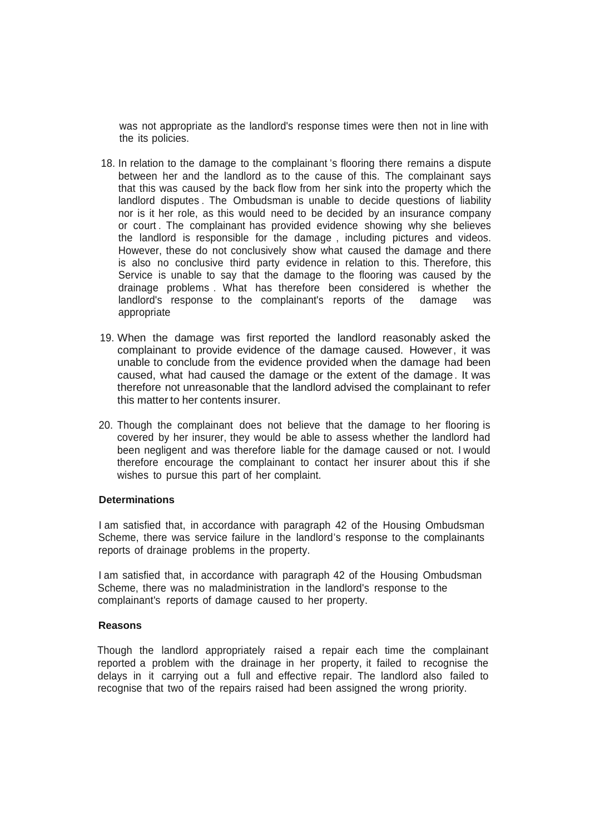was not appropriate as the landlord's response times were then not in line with the its policies.

- 18. In relation to the damage to the complainant 's flooring there remains a dispute between her and the landlord as to the cause of this. The complainant says that this was caused by the back flow from her sink into the property which the landlord disputes . The Ombudsman is unable to decide questions of liability nor is it her role, as this would need to be decided by an insurance company or court . The complainant has provided evidence showing why she believes the landlord is responsible for the damage , including pictures and videos. However, these do not conclusively show what caused the damage and there is also no conclusive third party evidence in relation to this. Therefore, this Service is unable to say that the damage to the flooring was caused by the drainage problems . What has therefore been considered is whether the landlord's response to the complainant's reports of the damage was appropriate
- 19. When the damage was first reported the landlord reasonably asked the complainant to provide evidence of the damage caused. However, it was unable to conclude from the evidence provided when the damage had been caused, what had caused the damage or the extent of the damage. It was therefore not unreasonable that the landlord advised the complainant to refer this matter to her contents insurer.
- 20. Though the complainant does not believe that the damage to her flooring is covered by her insurer, they would be able to assess whether the landlord had been negligent and was therefore liable for the damage caused or not. I would therefore encourage the complainant to contact her insurer about this if she wishes to pursue this part of her complaint.

### **Determinations**

I am satisfied that, in accordance with paragraph 42 of the Housing Ombudsman Scheme, there was service failure in the landlord's response to the complainants reports of drainage problems in the property.

I am satisfied that, in accordance with paragraph 42 of the Housing Ombudsman Scheme, there was no maladministration in the landlord's response to the complainant's reports of damage caused to her property.

#### **Reasons**

Though the landlord appropriately raised a repair each time the complainant reported a problem with the drainage in her property, it failed to recognise the delays in it carrying out a full and effective repair. The landlord also failed to recognise that two of the repairs raised had been assigned the wrong priority.